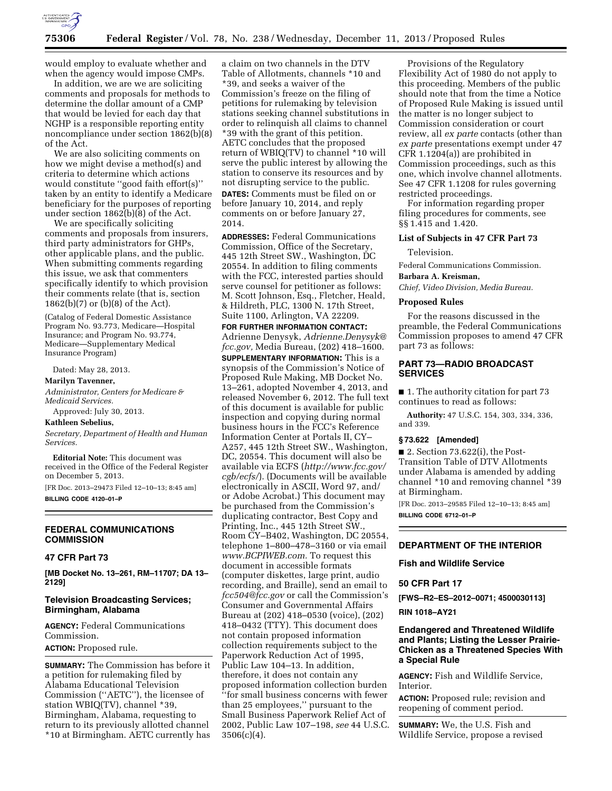

would employ to evaluate whether and when the agency would impose CMPs.

In addition, we are we are soliciting comments and proposals for methods to determine the dollar amount of a CMP that would be levied for each day that NGHP is a responsible reporting entity noncompliance under section 1862(b)(8) of the Act.

We are also soliciting comments on how we might devise a method(s) and criteria to determine which actions would constitute ''good faith effort(s)'' taken by an entity to identify a Medicare beneficiary for the purposes of reporting under section  $1862(b)(8)$  of the Act.

We are specifically soliciting comments and proposals from insurers, third party administrators for GHPs, other applicable plans, and the public. When submitting comments regarding this issue, we ask that commenters specifically identify to which provision their comments relate (that is, section 1862(b)(7) or (b)(8) of the Act).

(Catalog of Federal Domestic Assistance Program No. 93.773, Medicare—Hospital Insurance; and Program No. 93.774, Medicare—Supplementary Medical Insurance Program)

Dated: May 28, 2013.

#### **Marilyn Tavenner,**

*Administrator, Centers for Medicare & Medicaid Services.* 

Approved: July 30, 2013.

## **Kathleen Sebelius,**

*Secretary, Department of Health and Human Services.* 

**Editorial Note:** This document was received in the Office of the Federal Register on December 5, 2013.

[FR Doc. 2013–29473 Filed 12–10–13; 8:45 am] **BILLING CODE 4120–01–P** 

# **FEDERAL COMMUNICATIONS COMMISSION**

### **47 CFR Part 73**

**[MB Docket No. 13–261, RM–11707; DA 13– 2129]** 

# **Television Broadcasting Services; Birmingham, Alabama**

**AGENCY:** Federal Communications Commission.

**ACTION:** Proposed rule.

**SUMMARY:** The Commission has before it a petition for rulemaking filed by Alabama Educational Television Commission (''AETC''), the licensee of station WBIQ(TV), channel \*39, Birmingham, Alabama, requesting to return to its previously allotted channel \*10 at Birmingham. AETC currently has

a claim on two channels in the DTV Table of Allotments, channels \*10 and \*39, and seeks a waiver of the Commission's freeze on the filing of petitions for rulemaking by television stations seeking channel substitutions in order to relinquish all claims to channel \*39 with the grant of this petition. AETC concludes that the proposed return of WBIQ(TV) to channel \*10 will serve the public interest by allowing the station to conserve its resources and by not disrupting service to the public. **DATES:** Comments must be filed on or before January 10, 2014, and reply comments on or before January 27, 2014.

**ADDRESSES:** Federal Communications Commission, Office of the Secretary, 445 12th Street SW., Washington, DC 20554. In addition to filing comments with the FCC, interested parties should serve counsel for petitioner as follows: M. Scott Johnson, Esq., Fletcher, Heald, & Hildreth, PLC, 1300 N. 17th Street, Suite 1100, Arlington, VA 22209.

#### **FOR FURTHER INFORMATION CONTACT:**

Adrienne Denysyk, *[Adrienne.Denysyk@](mailto:Adrienne.Denysyk@fcc.gov) [fcc.gov,](mailto:Adrienne.Denysyk@fcc.gov)* Media Bureau, (202) 418–1600. **SUPPLEMENTARY INFORMATION:** This is a synopsis of the Commission's Notice of Proposed Rule Making, MB Docket No. 13–261, adopted November 4, 2013, and released November 6, 2012. The full text of this document is available for public inspection and copying during normal business hours in the FCC's Reference Information Center at Portals II, CY– A257, 445 12th Street SW., Washington, DC, 20554. This document will also be available via ECFS (*[http://www.fcc.gov/](http://www.fcc.gov/cgb/ecfs/) [cgb/ecfs/](http://www.fcc.gov/cgb/ecfs/)*). (Documents will be available electronically in ASCII, Word 97, and/ or Adobe Acrobat.) This document may be purchased from the Commission's duplicating contractor, Best Copy and Printing, Inc., 445 12th Street SW., Room CY–B402, Washington, DC 20554, telephone 1–800–478–3160 or via email *[www.BCPIWEB.com.](http://www.BCPIWEB.com)* To request this document in accessible formats (computer diskettes, large print, audio recording, and Braille), send an email to *[fcc504@fcc.gov](mailto:fcc504@fcc.gov)* or call the Commission's Consumer and Governmental Affairs Bureau at (202) 418–0530 (voice), (202) 418–0432 (TTY). This document does not contain proposed information collection requirements subject to the Paperwork Reduction Act of 1995, Public Law 104–13. In addition, therefore, it does not contain any proposed information collection burden ''for small business concerns with fewer than 25 employees,'' pursuant to the Small Business Paperwork Relief Act of 2002, Public Law 107–198, *see* 44 U.S.C. 3506(c)(4).

Provisions of the Regulatory Flexibility Act of 1980 do not apply to this proceeding. Members of the public should note that from the time a Notice of Proposed Rule Making is issued until the matter is no longer subject to Commission consideration or court review, all *ex parte* contacts (other than *ex parte* presentations exempt under 47 CFR 1.1204(a)) are prohibited in Commission proceedings, such as this one, which involve channel allotments. See 47 CFR 1.1208 for rules governing restricted proceedings.

For information regarding proper filing procedures for comments, see §§ 1.415 and 1.420.

#### **List of Subjects in 47 CFR Part 73**

Television.

Federal Communications Commission.

**Barbara A. Kreisman,** 

*Chief, Video Division, Media Bureau.* 

# **Proposed Rules**

For the reasons discussed in the preamble, the Federal Communications Commission proposes to amend 47 CFR part 73 as follows:

# **PART 73—RADIO BROADCAST SERVICES**

■ 1. The authority citation for part 73 continues to read as follows:

**Authority:** 47 U.S.C. 154, 303, 334, 336, and 339.

#### **§ 73.622 [Amended]**

 $\blacksquare$  2. Section 73.622(i), the Post-Transition Table of DTV Allotments under Alabama is amended by adding channel \*10 and removing channel \*39 at Birmingham.

[FR Doc. 2013–29585 Filed 12–10–13; 8:45 am] **BILLING CODE 6712–01–P** 

### **DEPARTMENT OF THE INTERIOR**

#### **Fish and Wildlife Service**

### **50 CFR Part 17**

**[FWS–R2–ES–2012–0071; 4500030113]** 

## **RIN 1018–AY21**

# **Endangered and Threatened Wildlife and Plants; Listing the Lesser Prairie-Chicken as a Threatened Species With a Special Rule**

**AGENCY:** Fish and Wildlife Service, Interior.

**ACTION:** Proposed rule; revision and reopening of comment period.

**SUMMARY:** We, the U.S. Fish and Wildlife Service, propose a revised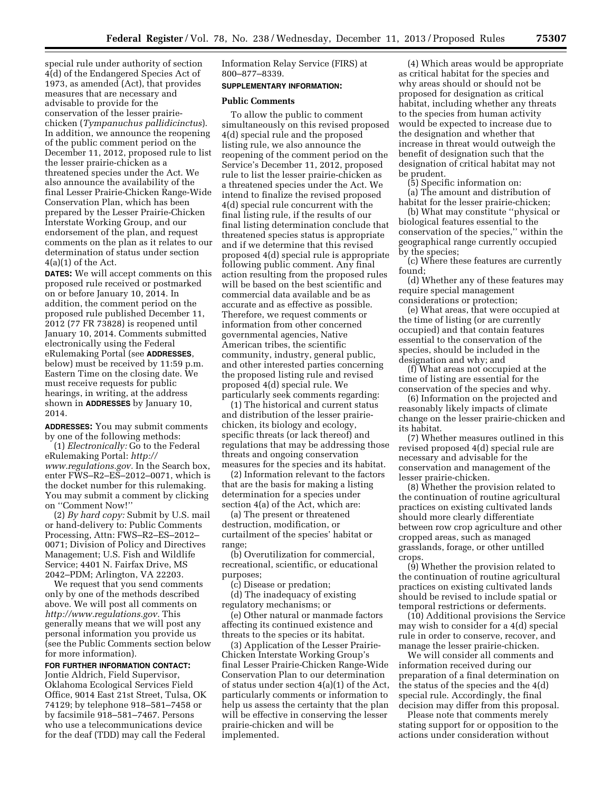special rule under authority of section 4(d) of the Endangered Species Act of 1973, as amended (Act), that provides measures that are necessary and advisable to provide for the conservation of the lesser prairiechicken (*Tympanuchus pallidicinctus*). In addition, we announce the reopening of the public comment period on the December 11, 2012, proposed rule to list the lesser prairie-chicken as a threatened species under the Act. We also announce the availability of the final Lesser Prairie-Chicken Range-Wide Conservation Plan, which has been prepared by the Lesser Prairie-Chicken Interstate Working Group, and our endorsement of the plan, and request comments on the plan as it relates to our determination of status under section  $4(a)(1)$  of the Act.

**DATES:** We will accept comments on this proposed rule received or postmarked on or before January 10, 2014. In addition, the comment period on the proposed rule published December 11, 2012 (77 FR 73828) is reopened until January 10, 2014. Comments submitted electronically using the Federal eRulemaking Portal (see **ADDRESSES**, below) must be received by 11:59 p.m. Eastern Time on the closing date. We must receive requests for public hearings, in writing, at the address shown in **ADDRESSES** by January 10, 2014.

**ADDRESSES:** You may submit comments by one of the following methods:

(1) *Electronically:* Go to the Federal eRulemaking Portal: *[http://](http://www.regulations.gov) [www.regulations.gov.](http://www.regulations.gov)* In the Search box, enter FWS–R2–ES–2012–0071, which is the docket number for this rulemaking. You may submit a comment by clicking on ''Comment Now!''

(2) *By hard copy:* Submit by U.S. mail or hand-delivery to: Public Comments Processing, Attn: FWS–R2–ES–2012– 0071; Division of Policy and Directives Management; U.S. Fish and Wildlife Service; 4401 N. Fairfax Drive, MS 2042–PDM; Arlington, VA 22203.

We request that you send comments only by one of the methods described above. We will post all comments on *[http://www.regulations.gov.](http://www.regulations.gov)* This generally means that we will post any personal information you provide us (see the Public Comments section below for more information).

# **FOR FURTHER INFORMATION CONTACT:**

Jontie Aldrich, Field Supervisor, Oklahoma Ecological Services Field Office, 9014 East 21st Street, Tulsa, OK 74129; by telephone 918–581–7458 or by facsimile 918–581–7467. Persons who use a telecommunications device for the deaf (TDD) may call the Federal

Information Relay Service (FIRS) at 800–877–8339.

### **SUPPLEMENTARY INFORMATION:**

## **Public Comments**

To allow the public to comment simultaneously on this revised proposed 4(d) special rule and the proposed listing rule, we also announce the reopening of the comment period on the Service's December 11, 2012, proposed rule to list the lesser prairie-chicken as a threatened species under the Act. We intend to finalize the revised proposed 4(d) special rule concurrent with the final listing rule, if the results of our final listing determination conclude that threatened species status is appropriate and if we determine that this revised proposed 4(d) special rule is appropriate following public comment. Any final action resulting from the proposed rules will be based on the best scientific and commercial data available and be as accurate and as effective as possible. Therefore, we request comments or information from other concerned governmental agencies, Native American tribes, the scientific community, industry, general public, and other interested parties concerning the proposed listing rule and revised proposed 4(d) special rule. We particularly seek comments regarding:

(1) The historical and current status and distribution of the lesser prairiechicken, its biology and ecology, specific threats (or lack thereof) and regulations that may be addressing those threats and ongoing conservation measures for the species and its habitat.

(2) Information relevant to the factors that are the basis for making a listing determination for a species under section 4(a) of the Act, which are:

(a) The present or threatened destruction, modification, or curtailment of the species' habitat or range;

(b) Overutilization for commercial, recreational, scientific, or educational purposes;

(c) Disease or predation;

(d) The inadequacy of existing regulatory mechanisms; or

(e) Other natural or manmade factors affecting its continued existence and threats to the species or its habitat.

(3) Application of the Lesser Prairie-Chicken Interstate Working Group's final Lesser Prairie-Chicken Range-Wide Conservation Plan to our determination of status under section 4(a)(1) of the Act, particularly comments or information to help us assess the certainty that the plan will be effective in conserving the lesser prairie-chicken and will be implemented.

(4) Which areas would be appropriate as critical habitat for the species and why areas should or should not be proposed for designation as critical habitat, including whether any threats to the species from human activity would be expected to increase due to the designation and whether that increase in threat would outweigh the benefit of designation such that the designation of critical habitat may not be prudent.

(5) Specific information on:

(a) The amount and distribution of habitat for the lesser prairie-chicken;

(b) What may constitute ''physical or biological features essential to the conservation of the species,'' within the geographical range currently occupied by the species;

(c) Where these features are currently found;

(d) Whether any of these features may require special management considerations or protection;

(e) What areas, that were occupied at the time of listing (or are currently occupied) and that contain features essential to the conservation of the species, should be included in the designation and why; and

(f) What areas not occupied at the time of listing are essential for the conservation of the species and why.

(6) Information on the projected and reasonably likely impacts of climate change on the lesser prairie-chicken and its habitat.

(7) Whether measures outlined in this revised proposed 4(d) special rule are necessary and advisable for the conservation and management of the lesser prairie-chicken.

(8) Whether the provision related to the continuation of routine agricultural practices on existing cultivated lands should more clearly differentiate between row crop agriculture and other cropped areas, such as managed grasslands, forage, or other untilled crops.

(9) Whether the provision related to the continuation of routine agricultural practices on existing cultivated lands should be revised to include spatial or temporal restrictions or deferments.

(10) Additional provisions the Service may wish to consider for a 4(d) special rule in order to conserve, recover, and manage the lesser prairie-chicken.

We will consider all comments and information received during our preparation of a final determination on the status of the species and the 4(d) special rule. Accordingly, the final decision may differ from this proposal.

Please note that comments merely stating support for or opposition to the actions under consideration without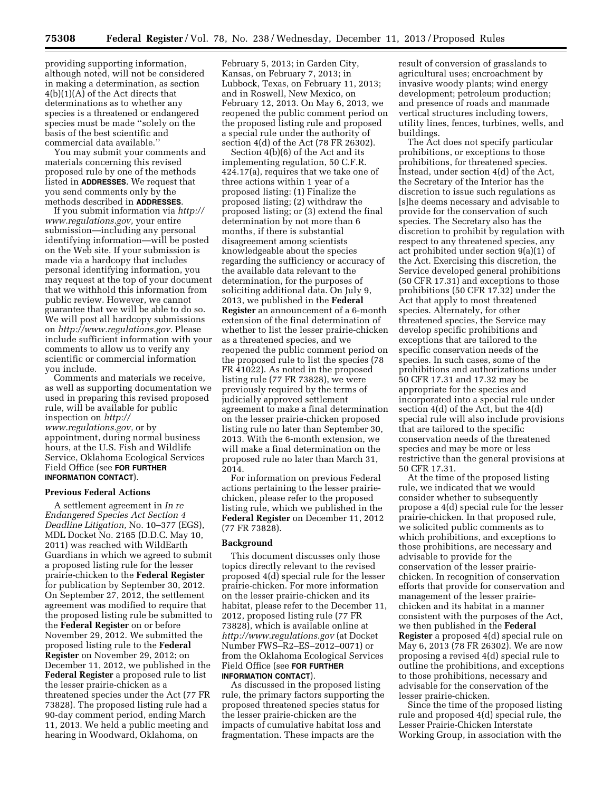providing supporting information, although noted, will not be considered in making a determination, as section 4(b)(1)(A) of the Act directs that determinations as to whether any species is a threatened or endangered species must be made ''solely on the basis of the best scientific and commercial data available.''

You may submit your comments and materials concerning this revised proposed rule by one of the methods listed in **ADDRESSES**. We request that you send comments only by the methods described in **ADDRESSES**.

If you submit information via *[http://](http://www.regulations.gov) [www.regulations.gov,](http://www.regulations.gov)* your entire submission—including any personal identifying information—will be posted on the Web site. If your submission is made via a hardcopy that includes personal identifying information, you may request at the top of your document that we withhold this information from public review. However, we cannot guarantee that we will be able to do so. We will post all hardcopy submissions on *[http://www.regulations.gov.](http://www.regulations.gov)* Please include sufficient information with your comments to allow us to verify any scientific or commercial information you include.

Comments and materials we receive, as well as supporting documentation we used in preparing this revised proposed rule, will be available for public inspection on *[http://](http://www.regulations.gov) [www.regulations.gov,](http://www.regulations.gov)* or by appointment, during normal business hours, at the U.S. Fish and Wildlife Service, Oklahoma Ecological Services Field Office (see **FOR FURTHER INFORMATION CONTACT**).

## **Previous Federal Actions**

A settlement agreement in *In re Endangered Species Act Section 4 Deadline Litigation,* No. 10–377 (EGS), MDL Docket No. 2165 (D.D.C. May 10, 2011) was reached with WildEarth Guardians in which we agreed to submit a proposed listing rule for the lesser prairie-chicken to the **Federal Register**  for publication by September 30, 2012. On September 27, 2012, the settlement agreement was modified to require that the proposed listing rule be submitted to the **Federal Register** on or before November 29, 2012. We submitted the proposed listing rule to the **Federal Register** on November 29, 2012; on December 11, 2012, we published in the **Federal Register** a proposed rule to list the lesser prairie-chicken as a threatened species under the Act (77 FR 73828). The proposed listing rule had a 90-day comment period, ending March 11, 2013. We held a public meeting and hearing in Woodward, Oklahoma, on

February 5, 2013; in Garden City, Kansas, on February 7, 2013; in Lubbock, Texas, on February 11, 2013; and in Roswell, New Mexico, on February 12, 2013. On May 6, 2013, we reopened the public comment period on the proposed listing rule and proposed a special rule under the authority of section 4(d) of the Act (78 FR 26302).

Section 4(b)(6) of the Act and its implementing regulation, 50 C.F.R. 424.17(a), requires that we take one of three actions within 1 year of a proposed listing: (1) Finalize the proposed listing; (2) withdraw the proposed listing; or (3) extend the final determination by not more than 6 months, if there is substantial disagreement among scientists knowledgeable about the species regarding the sufficiency or accuracy of the available data relevant to the determination, for the purposes of soliciting additional data. On July 9, 2013, we published in the **Federal Register** an announcement of a 6-month extension of the final determination of whether to list the lesser prairie-chicken as a threatened species, and we reopened the public comment period on the proposed rule to list the species (78 FR 41022). As noted in the proposed listing rule (77 FR 73828), we were previously required by the terms of judicially approved settlement agreement to make a final determination on the lesser prairie-chicken proposed listing rule no later than September 30, 2013. With the 6-month extension, we will make a final determination on the proposed rule no later than March 31, 2014.

For information on previous Federal actions pertaining to the lesser prairiechicken, please refer to the proposed listing rule, which we published in the **Federal Register** on December 11, 2012 (77 FR 73828).

### **Background**

This document discusses only those topics directly relevant to the revised proposed 4(d) special rule for the lesser prairie-chicken. For more information on the lesser prairie-chicken and its habitat, please refer to the December 11, 2012, proposed listing rule (77 FR 73828), which is available online at *<http://www.regulations.gov>* (at Docket Number FWS–R2–ES–2012–0071) or from the Oklahoma Ecological Services Field Office (see **FOR FURTHER INFORMATION CONTACT**).

As discussed in the proposed listing rule, the primary factors supporting the proposed threatened species status for the lesser prairie-chicken are the impacts of cumulative habitat loss and fragmentation. These impacts are the

result of conversion of grasslands to agricultural uses; encroachment by invasive woody plants; wind energy development; petroleum production; and presence of roads and manmade vertical structures including towers, utility lines, fences, turbines, wells, and buildings.

The Act does not specify particular prohibitions, or exceptions to those prohibitions, for threatened species. Instead, under section 4(d) of the Act, the Secretary of the Interior has the discretion to issue such regulations as [s]he deems necessary and advisable to provide for the conservation of such species. The Secretary also has the discretion to prohibit by regulation with respect to any threatened species, any act prohibited under section 9(a)(1) of the Act. Exercising this discretion, the Service developed general prohibitions (50 CFR 17.31) and exceptions to those prohibitions (50 CFR 17.32) under the Act that apply to most threatened species. Alternately, for other threatened species, the Service may develop specific prohibitions and exceptions that are tailored to the specific conservation needs of the species. In such cases, some of the prohibitions and authorizations under 50 CFR 17.31 and 17.32 may be appropriate for the species and incorporated into a special rule under section 4(d) of the Act, but the 4(d) special rule will also include provisions that are tailored to the specific conservation needs of the threatened species and may be more or less restrictive than the general provisions at 50 CFR 17.31.

At the time of the proposed listing rule, we indicated that we would consider whether to subsequently propose a 4(d) special rule for the lesser prairie-chicken. In that proposed rule, we solicited public comments as to which prohibitions, and exceptions to those prohibitions, are necessary and advisable to provide for the conservation of the lesser prairiechicken. In recognition of conservation efforts that provide for conservation and management of the lesser prairiechicken and its habitat in a manner consistent with the purposes of the Act, we then published in the **Federal Register** a proposed 4(d) special rule on May 6, 2013 (78 FR 26302). We are now proposing a revised 4(d) special rule to outline the prohibitions, and exceptions to those prohibitions, necessary and advisable for the conservation of the lesser prairie-chicken.

Since the time of the proposed listing rule and proposed 4(d) special rule, the Lesser Prairie-Chicken Interstate Working Group, in association with the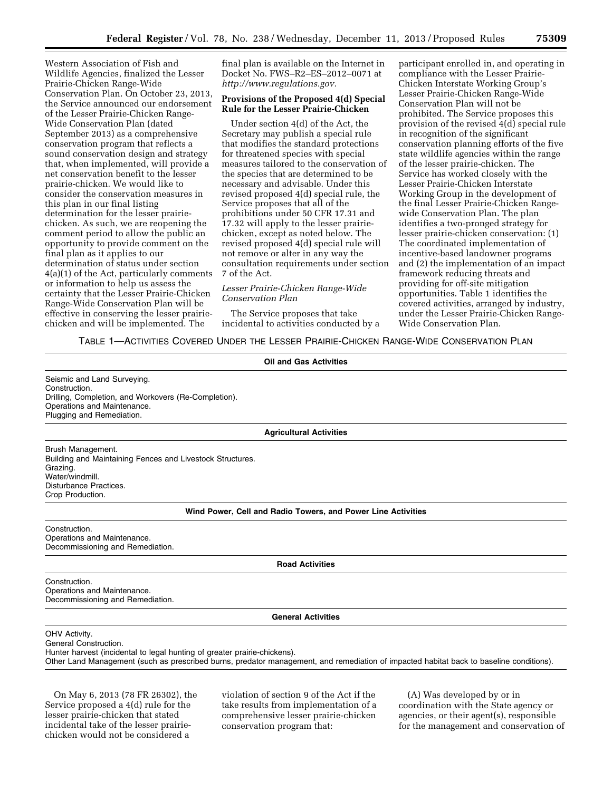Western Association of Fish and Wildlife Agencies, finalized the Lesser Prairie-Chicken Range-Wide Conservation Plan. On October 23, 2013, the Service announced our endorsement of the Lesser Prairie-Chicken Range-Wide Conservation Plan (dated September 2013) as a comprehensive conservation program that reflects a sound conservation design and strategy that, when implemented, will provide a net conservation benefit to the lesser prairie-chicken. We would like to consider the conservation measures in this plan in our final listing determination for the lesser prairiechicken. As such, we are reopening the comment period to allow the public an opportunity to provide comment on the final plan as it applies to our determination of status under section 4(a)(1) of the Act, particularly comments or information to help us assess the certainty that the Lesser Prairie-Chicken Range-Wide Conservation Plan will be effective in conserving the lesser prairiechicken and will be implemented. The

final plan is available on the Internet in Docket No. FWS–R2–ES–2012–0071 at *[http://www.regulations.gov.](http://www.regulations.gov)* 

### **Provisions of the Proposed 4(d) Special Rule for the Lesser Prairie-Chicken**

Under section 4(d) of the Act, the Secretary may publish a special rule that modifies the standard protections for threatened species with special measures tailored to the conservation of the species that are determined to be necessary and advisable. Under this revised proposed 4(d) special rule, the Service proposes that all of the prohibitions under 50 CFR 17.31 and 17.32 will apply to the lesser prairiechicken, except as noted below. The revised proposed 4(d) special rule will not remove or alter in any way the consultation requirements under section 7 of the Act.

# *Lesser Prairie-Chicken Range-Wide Conservation Plan*

The Service proposes that take incidental to activities conducted by a participant enrolled in, and operating in compliance with the Lesser Prairie-Chicken Interstate Working Group's Lesser Prairie-Chicken Range-Wide Conservation Plan will not be prohibited. The Service proposes this provision of the revised 4(d) special rule in recognition of the significant conservation planning efforts of the five state wildlife agencies within the range of the lesser prairie-chicken. The Service has worked closely with the Lesser Prairie-Chicken Interstate Working Group in the development of the final Lesser Prairie-Chicken Rangewide Conservation Plan. The plan identifies a two-pronged strategy for lesser prairie-chicken conservation: (1) The coordinated implementation of incentive-based landowner programs and (2) the implementation of an impact framework reducing threats and providing for off-site mitigation opportunities. Table 1 identifies the covered activities, arranged by industry, under the Lesser Prairie-Chicken Range-Wide Conservation Plan.

# TABLE 1—ACTIVITIES COVERED UNDER THE LESSER PRAIRIE-CHICKEN RANGE-WIDE CONSERVATION PLAN

**Oil and Gas Activities**  Seismic and Land Surveying. Construction. Drilling, Completion, and Workovers (Re-Completion). Operations and Maintenance. Plugging and Remediation. **Agricultural Activities** 

Brush Management. Building and Maintaining Fences and Livestock Structures. Grazing. Water/windmill. Disturbance Practices. Crop Production.

# **Wind Power, Cell and Radio Towers, and Power Line Activities**

Construction. Operations and Maintenance. Decommissioning and Remediation.

**Road Activities** 

Construction. Operations and Maintenance. Decommissioning and Remediation.

**General Activities** 

OHV Activity.

General Construction. Hunter harvest (incidental to legal hunting of greater prairie-chickens). Other Land Management (such as prescribed burns, predator management, and remediation of impacted habitat back to baseline conditions).

On May 6, 2013 (78 FR 26302), the Service proposed a 4(d) rule for the lesser prairie-chicken that stated incidental take of the lesser prairiechicken would not be considered a

violation of section 9 of the Act if the take results from implementation of a comprehensive lesser prairie-chicken conservation program that:

(A) Was developed by or in coordination with the State agency or agencies, or their agent(s), responsible for the management and conservation of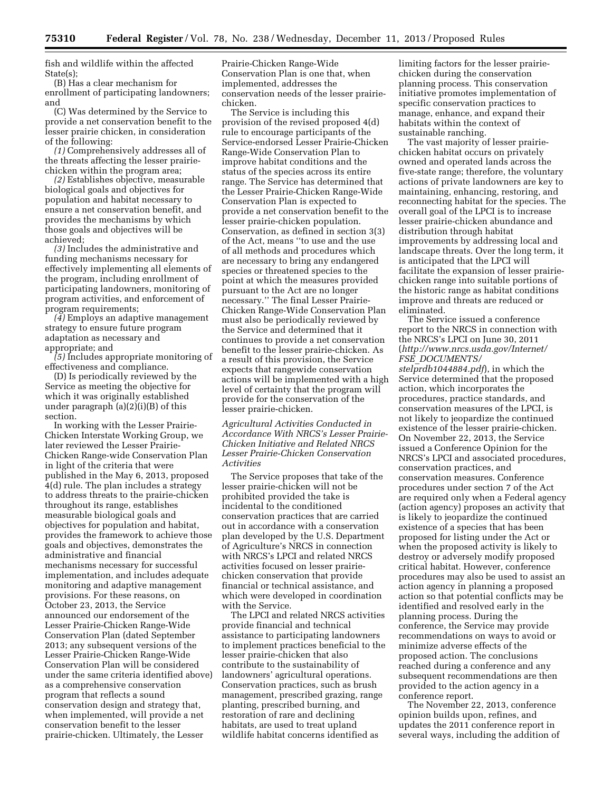fish and wildlife within the affected State(s);

(B) Has a clear mechanism for enrollment of participating landowners; and

(C) Was determined by the Service to provide a net conservation benefit to the lesser prairie chicken, in consideration of the following:

*(1)* Comprehensively addresses all of the threats affecting the lesser prairiechicken within the program area;

*(2)* Establishes objective, measurable biological goals and objectives for population and habitat necessary to ensure a net conservation benefit, and provides the mechanisms by which those goals and objectives will be achieved;

*(3)* Includes the administrative and funding mechanisms necessary for effectively implementing all elements of the program, including enrollment of participating landowners, monitoring of program activities, and enforcement of program requirements;

*(4)* Employs an adaptive management strategy to ensure future program adaptation as necessary and appropriate; and

*(5)* Includes appropriate monitoring of effectiveness and compliance.

(D) Is periodically reviewed by the Service as meeting the objective for which it was originally established under paragraph (a)(2)(i)(B) of this section.

In working with the Lesser Prairie-Chicken Interstate Working Group, we later reviewed the Lesser Prairie-Chicken Range-wide Conservation Plan in light of the criteria that were published in the May 6, 2013, proposed 4(d) rule. The plan includes a strategy to address threats to the prairie-chicken throughout its range, establishes measurable biological goals and objectives for population and habitat, provides the framework to achieve those goals and objectives, demonstrates the administrative and financial mechanisms necessary for successful implementation, and includes adequate monitoring and adaptive management provisions. For these reasons, on October 23, 2013, the Service announced our endorsement of the Lesser Prairie-Chicken Range-Wide Conservation Plan (dated September 2013; any subsequent versions of the Lesser Prairie-Chicken Range-Wide Conservation Plan will be considered under the same criteria identified above) as a comprehensive conservation program that reflects a sound conservation design and strategy that, when implemented, will provide a net conservation benefit to the lesser prairie-chicken. Ultimately, the Lesser

Prairie-Chicken Range-Wide Conservation Plan is one that, when implemented, addresses the conservation needs of the lesser prairiechicken.

The Service is including this provision of the revised proposed 4(d) rule to encourage participants of the Service-endorsed Lesser Prairie-Chicken Range-Wide Conservation Plan to improve habitat conditions and the status of the species across its entire range. The Service has determined that the Lesser Prairie-Chicken Range-Wide Conservation Plan is expected to provide a net conservation benefit to the lesser prairie-chicken population. Conservation, as defined in section 3(3) of the Act, means ''to use and the use of all methods and procedures which are necessary to bring any endangered species or threatened species to the point at which the measures provided pursuant to the Act are no longer necessary.'' The final Lesser Prairie-Chicken Range-Wide Conservation Plan must also be periodically reviewed by the Service and determined that it continues to provide a net conservation benefit to the lesser prairie-chicken. As a result of this provision, the Service expects that rangewide conservation actions will be implemented with a high level of certainty that the program will provide for the conservation of the lesser prairie-chicken.

*Agricultural Activities Conducted in Accordance With NRCS's Lesser Prairie-Chicken Initiative and Related NRCS Lesser Prairie-Chicken Conservation Activities* 

The Service proposes that take of the lesser prairie-chicken will not be prohibited provided the take is incidental to the conditioned conservation practices that are carried out in accordance with a conservation plan developed by the U.S. Department of Agriculture's NRCS in connection with NRCS's LPCI and related NRCS activities focused on lesser prairiechicken conservation that provide financial or technical assistance, and which were developed in coordination with the Service.

The LPCI and related NRCS activities provide financial and technical assistance to participating landowners to implement practices beneficial to the lesser prairie-chicken that also contribute to the sustainability of landowners' agricultural operations. Conservation practices, such as brush management, prescribed grazing, range planting, prescribed burning, and restoration of rare and declining habitats, are used to treat upland wildlife habitat concerns identified as

limiting factors for the lesser prairiechicken during the conservation planning process. This conservation initiative promotes implementation of specific conservation practices to manage, enhance, and expand their habitats within the context of sustainable ranching.

The vast majority of lesser prairiechicken habitat occurs on privately owned and operated lands across the five-state range; therefore, the voluntary actions of private landowners are key to maintaining, enhancing, restoring, and reconnecting habitat for the species. The overall goal of the LPCI is to increase lesser prairie-chicken abundance and distribution through habitat improvements by addressing local and landscape threats. Over the long term, it is anticipated that the LPCI will facilitate the expansion of lesser prairiechicken range into suitable portions of the historic range as habitat conditions improve and threats are reduced or eliminated.

The Service issued a conference report to the NRCS in connection with the NRCS's LPCI on June 30, 2011 (*[http://www.nrcs.usda.gov/Internet/](http://www.nrcs.usda.gov/Internet/FSE_DOCUMENTS/stelprdb1044884.pdf) FSE*\_*[DOCUMENTS/](http://www.nrcs.usda.gov/Internet/FSE_DOCUMENTS/stelprdb1044884.pdf)*

*[stelprdb1044884.pdf](http://www.nrcs.usda.gov/Internet/FSE_DOCUMENTS/stelprdb1044884.pdf)*), in which the Service determined that the proposed action, which incorporates the procedures, practice standards, and conservation measures of the LPCI, is not likely to jeopardize the continued existence of the lesser prairie-chicken. On November 22, 2013, the Service issued a Conference Opinion for the NRCS's LPCI and associated procedures, conservation practices, and conservation measures. Conference procedures under section 7 of the Act are required only when a Federal agency (action agency) proposes an activity that is likely to jeopardize the continued existence of a species that has been proposed for listing under the Act or when the proposed activity is likely to destroy or adversely modify proposed critical habitat. However, conference procedures may also be used to assist an action agency in planning a proposed action so that potential conflicts may be identified and resolved early in the planning process. During the conference, the Service may provide recommendations on ways to avoid or minimize adverse effects of the proposed action. The conclusions reached during a conference and any subsequent recommendations are then provided to the action agency in a conference report.

The November 22, 2013, conference opinion builds upon, refines, and updates the 2011 conference report in several ways, including the addition of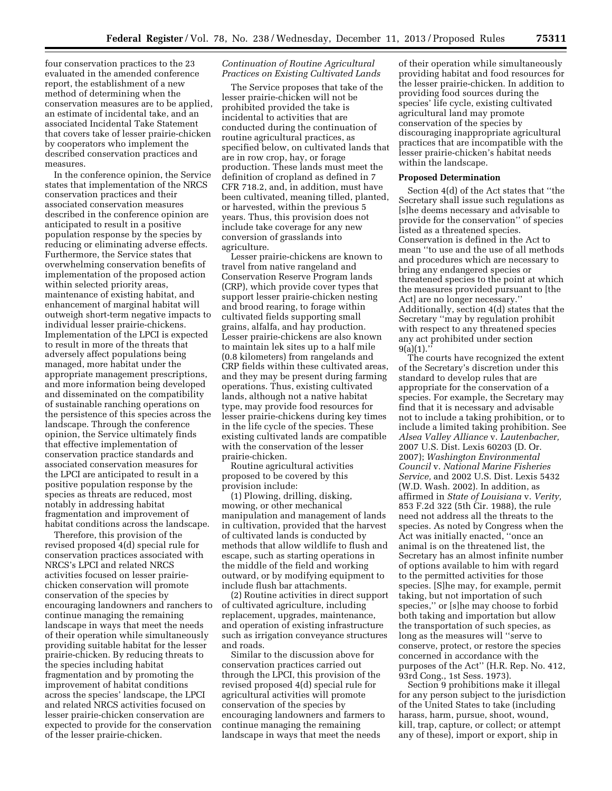four conservation practices to the 23 evaluated in the amended conference report, the establishment of a new method of determining when the conservation measures are to be applied, an estimate of incidental take, and an associated Incidental Take Statement that covers take of lesser prairie-chicken by cooperators who implement the described conservation practices and measures.

In the conference opinion, the Service states that implementation of the NRCS conservation practices and their associated conservation measures described in the conference opinion are anticipated to result in a positive population response by the species by reducing or eliminating adverse effects. Furthermore, the Service states that overwhelming conservation benefits of implementation of the proposed action within selected priority areas, maintenance of existing habitat, and enhancement of marginal habitat will outweigh short-term negative impacts to individual lesser prairie-chickens. Implementation of the LPCI is expected to result in more of the threats that adversely affect populations being managed, more habitat under the appropriate management prescriptions, and more information being developed and disseminated on the compatibility of sustainable ranching operations on the persistence of this species across the landscape. Through the conference opinion, the Service ultimately finds that effective implementation of conservation practice standards and associated conservation measures for the LPCI are anticipated to result in a positive population response by the species as threats are reduced, most notably in addressing habitat fragmentation and improvement of habitat conditions across the landscape.

Therefore, this provision of the revised proposed 4(d) special rule for conservation practices associated with NRCS's LPCI and related NRCS activities focused on lesser prairiechicken conservation will promote conservation of the species by encouraging landowners and ranchers to continue managing the remaining landscape in ways that meet the needs of their operation while simultaneously providing suitable habitat for the lesser prairie-chicken. By reducing threats to the species including habitat fragmentation and by promoting the improvement of habitat conditions across the species' landscape, the LPCI and related NRCS activities focused on lesser prairie-chicken conservation are expected to provide for the conservation of the lesser prairie-chicken.

## *Continuation of Routine Agricultural Practices on Existing Cultivated Lands*

The Service proposes that take of the lesser prairie-chicken will not be prohibited provided the take is incidental to activities that are conducted during the continuation of routine agricultural practices, as specified below, on cultivated lands that are in row crop, hay, or forage production. These lands must meet the definition of cropland as defined in 7 CFR 718.2, and, in addition, must have been cultivated, meaning tilled, planted, or harvested, within the previous 5 years. Thus, this provision does not include take coverage for any new conversion of grasslands into agriculture.

Lesser prairie-chickens are known to travel from native rangeland and Conservation Reserve Program lands (CRP), which provide cover types that support lesser prairie-chicken nesting and brood rearing, to forage within cultivated fields supporting small grains, alfalfa, and hay production. Lesser prairie-chickens are also known to maintain lek sites up to a half mile (0.8 kilometers) from rangelands and CRP fields within these cultivated areas, and they may be present during farming operations. Thus, existing cultivated lands, although not a native habitat type, may provide food resources for lesser prairie-chickens during key times in the life cycle of the species. These existing cultivated lands are compatible with the conservation of the lesser prairie-chicken.

Routine agricultural activities proposed to be covered by this provision include:

(1) Plowing, drilling, disking, mowing, or other mechanical manipulation and management of lands in cultivation, provided that the harvest of cultivated lands is conducted by methods that allow wildlife to flush and escape, such as starting operations in the middle of the field and working outward, or by modifying equipment to include flush bar attachments.

(2) Routine activities in direct support of cultivated agriculture, including replacement, upgrades, maintenance, and operation of existing infrastructure such as irrigation conveyance structures and roads.

Similar to the discussion above for conservation practices carried out through the LPCI, this provision of the revised proposed 4(d) special rule for agricultural activities will promote conservation of the species by encouraging landowners and farmers to continue managing the remaining landscape in ways that meet the needs

of their operation while simultaneously providing habitat and food resources for the lesser prairie-chicken. In addition to providing food sources during the species' life cycle, existing cultivated agricultural land may promote conservation of the species by discouraging inappropriate agricultural practices that are incompatible with the lesser prairie-chicken's habitat needs within the landscape.

#### **Proposed Determination**

Section 4(d) of the Act states that ''the Secretary shall issue such regulations as [s]he deems necessary and advisable to provide for the conservation'' of species listed as a threatened species. Conservation is defined in the Act to mean ''to use and the use of all methods and procedures which are necessary to bring any endangered species or threatened species to the point at which the measures provided pursuant to [the Act] are no longer necessary.'' Additionally, section 4(d) states that the Secretary ''may by regulation prohibit with respect to any threatened species any act prohibited under section  $9(a)(1)$ ."

The courts have recognized the extent of the Secretary's discretion under this standard to develop rules that are appropriate for the conservation of a species. For example, the Secretary may find that it is necessary and advisable not to include a taking prohibition, or to include a limited taking prohibition. See *Alsea Valley Alliance* v. *Lautenbacher,*  2007 U.S. Dist. Lexis 60203 (D. Or. 2007); *Washington Environmental Council* v. *National Marine Fisheries Service,* and 2002 U.S. Dist. Lexis 5432 (W.D. Wash. 2002). In addition, as affirmed in *State of Louisiana* v. *Verity,*  853 F.2d 322 (5th Cir. 1988), the rule need not address all the threats to the species. As noted by Congress when the Act was initially enacted, ''once an animal is on the threatened list, the Secretary has an almost infinite number of options available to him with regard to the permitted activities for those species. [S]he may, for example, permit taking, but not importation of such species,'' or [s]he may choose to forbid both taking and importation but allow the transportation of such species, as long as the measures will ''serve to conserve, protect, or restore the species concerned in accordance with the purposes of the Act'' (H.R. Rep. No. 412, 93rd Cong., 1st Sess. 1973).

Section 9 prohibitions make it illegal for any person subject to the jurisdiction of the United States to take (including harass, harm, pursue, shoot, wound, kill, trap, capture, or collect; or attempt any of these), import or export, ship in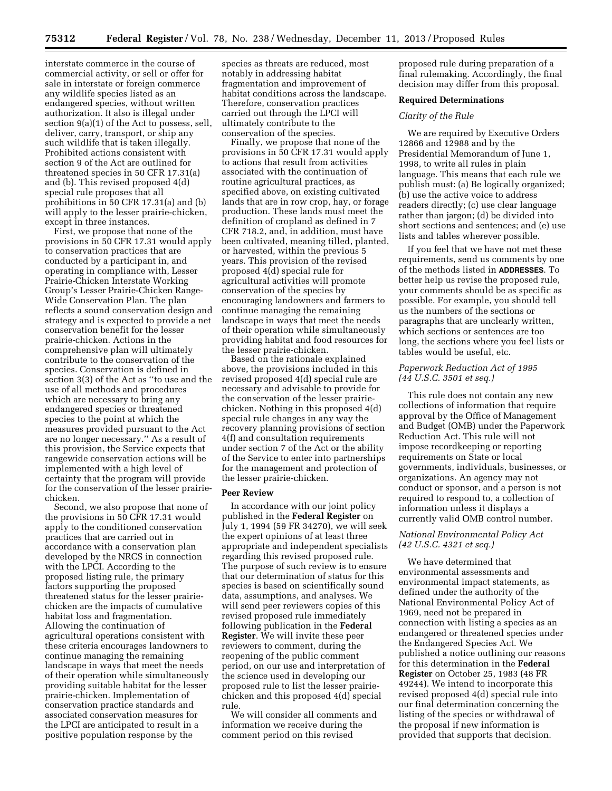interstate commerce in the course of commercial activity, or sell or offer for sale in interstate or foreign commerce any wildlife species listed as an endangered species, without written authorization. It also is illegal under section 9(a)(1) of the Act to possess, sell, deliver, carry, transport, or ship any such wildlife that is taken illegally. Prohibited actions consistent with section 9 of the Act are outlined for threatened species in 50 CFR 17.31(a) and (b). This revised proposed 4(d) special rule proposes that all prohibitions in 50 CFR 17.31(a) and (b) will apply to the lesser prairie-chicken, except in three instances.

First, we propose that none of the provisions in 50 CFR 17.31 would apply to conservation practices that are conducted by a participant in, and operating in compliance with, Lesser Prairie-Chicken Interstate Working Group's Lesser Prairie-Chicken Range-Wide Conservation Plan. The plan reflects a sound conservation design and strategy and is expected to provide a net conservation benefit for the lesser prairie-chicken. Actions in the comprehensive plan will ultimately contribute to the conservation of the species. Conservation is defined in section 3(3) of the Act as ''to use and the use of all methods and procedures which are necessary to bring any endangered species or threatened species to the point at which the measures provided pursuant to the Act are no longer necessary.'' As a result of this provision, the Service expects that rangewide conservation actions will be implemented with a high level of certainty that the program will provide for the conservation of the lesser prairiechicken.

Second, we also propose that none of the provisions in 50 CFR 17.31 would apply to the conditioned conservation practices that are carried out in accordance with a conservation plan developed by the NRCS in connection with the LPCI. According to the proposed listing rule, the primary factors supporting the proposed threatened status for the lesser prairiechicken are the impacts of cumulative habitat loss and fragmentation. Allowing the continuation of agricultural operations consistent with these criteria encourages landowners to continue managing the remaining landscape in ways that meet the needs of their operation while simultaneously providing suitable habitat for the lesser prairie-chicken. Implementation of conservation practice standards and associated conservation measures for the LPCI are anticipated to result in a positive population response by the

species as threats are reduced, most notably in addressing habitat fragmentation and improvement of habitat conditions across the landscape. Therefore, conservation practices carried out through the LPCI will ultimately contribute to the conservation of the species.

Finally, we propose that none of the provisions in 50 CFR 17.31 would apply to actions that result from activities associated with the continuation of routine agricultural practices, as specified above, on existing cultivated lands that are in row crop, hay, or forage production. These lands must meet the definition of cropland as defined in 7 CFR 718.2, and, in addition, must have been cultivated, meaning tilled, planted, or harvested, within the previous 5 years. This provision of the revised proposed 4(d) special rule for agricultural activities will promote conservation of the species by encouraging landowners and farmers to continue managing the remaining landscape in ways that meet the needs of their operation while simultaneously providing habitat and food resources for the lesser prairie-chicken.

Based on the rationale explained above, the provisions included in this revised proposed 4(d) special rule are necessary and advisable to provide for the conservation of the lesser prairiechicken. Nothing in this proposed 4(d) special rule changes in any way the recovery planning provisions of section 4(f) and consultation requirements under section 7 of the Act or the ability of the Service to enter into partnerships for the management and protection of the lesser prairie-chicken.

### **Peer Review**

In accordance with our joint policy published in the **Federal Register** on July 1, 1994 (59 FR 34270), we will seek the expert opinions of at least three appropriate and independent specialists regarding this revised proposed rule. The purpose of such review is to ensure that our determination of status for this species is based on scientifically sound data, assumptions, and analyses. We will send peer reviewers copies of this revised proposed rule immediately following publication in the **Federal Register**. We will invite these peer reviewers to comment, during the reopening of the public comment period, on our use and interpretation of the science used in developing our proposed rule to list the lesser prairiechicken and this proposed 4(d) special rule.

We will consider all comments and information we receive during the comment period on this revised

proposed rule during preparation of a final rulemaking. Accordingly, the final decision may differ from this proposal.

#### **Required Determinations**

## *Clarity of the Rule*

We are required by Executive Orders 12866 and 12988 and by the Presidential Memorandum of June 1, 1998, to write all rules in plain language. This means that each rule we publish must: (a) Be logically organized; (b) use the active voice to address readers directly; (c) use clear language rather than jargon; (d) be divided into short sections and sentences; and (e) use lists and tables wherever possible.

If you feel that we have not met these requirements, send us comments by one of the methods listed in **ADDRESSES**. To better help us revise the proposed rule, your comments should be as specific as possible. For example, you should tell us the numbers of the sections or paragraphs that are unclearly written, which sections or sentences are too long, the sections where you feel lists or tables would be useful, etc.

# *Paperwork Reduction Act of 1995 (44 U.S.C. 3501 et seq.)*

This rule does not contain any new collections of information that require approval by the Office of Management and Budget (OMB) under the Paperwork Reduction Act. This rule will not impose recordkeeping or reporting requirements on State or local governments, individuals, businesses, or organizations. An agency may not conduct or sponsor, and a person is not required to respond to, a collection of information unless it displays a currently valid OMB control number.

# *National Environmental Policy Act (42 U.S.C. 4321 et seq.)*

We have determined that environmental assessments and environmental impact statements, as defined under the authority of the National Environmental Policy Act of 1969, need not be prepared in connection with listing a species as an endangered or threatened species under the Endangered Species Act. We published a notice outlining our reasons for this determination in the **Federal Register** on October 25, 1983 (48 FR 49244). We intend to incorporate this revised proposed 4(d) special rule into our final determination concerning the listing of the species or withdrawal of the proposal if new information is provided that supports that decision.